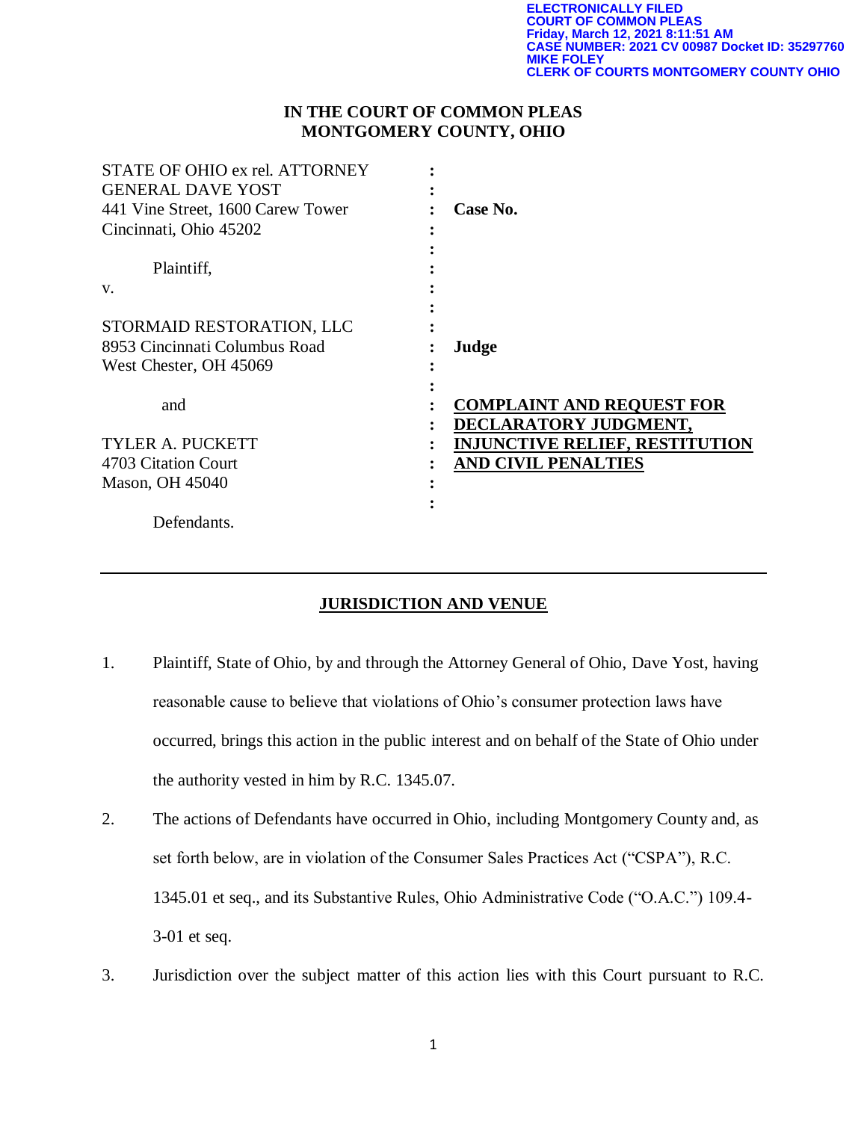# **IN THE COURT OF COMMON PLEAS MONTGOMERY COUNTY, OHIO**

| STATE OF OHIO ex rel. ATTORNEY<br><b>GENERAL DAVE YOST</b> |                                       |
|------------------------------------------------------------|---------------------------------------|
| 441 Vine Street, 1600 Carew Tower                          | Case No.                              |
| Cincinnati, Ohio 45202                                     |                                       |
| Plaintiff,                                                 |                                       |
| V.                                                         |                                       |
|                                                            |                                       |
| STORMAID RESTORATION, LLC                                  |                                       |
| 8953 Cincinnati Columbus Road                              | Judge                                 |
| West Chester, OH 45069                                     |                                       |
|                                                            |                                       |
| and                                                        | <b>COMPLAINT AND REQUEST FOR</b>      |
|                                                            | DECLARATORY JUDGMENT,                 |
| <b>TYLER A. PUCKETT</b>                                    | <u>INJUNCTIVE RELIEF, RESTITUTION</u> |
| 4703 Citation Court                                        | <b>AND CIVIL PENALTIES</b>            |
| Mason, OH 45040                                            |                                       |
|                                                            |                                       |
| Defendants.                                                |                                       |

# **JURISDICTION AND VENUE**

- 1. Plaintiff, State of Ohio, by and through the Attorney General of Ohio, Dave Yost, having reasonable cause to believe that violations of Ohio's consumer protection laws have occurred, brings this action in the public interest and on behalf of the State of Ohio under the authority vested in him by R.C. 1345.07.
- 2. The actions of Defendants have occurred in Ohio, including Montgomery County and, as set forth below, are in violation of the Consumer Sales Practices Act ("CSPA"), R.C. 1345.01 et seq., and its Substantive Rules, Ohio Administrative Code ("O.A.C.") 109.4- 3-01 et seq.
- 3. Jurisdiction over the subject matter of this action lies with this Court pursuant to R.C.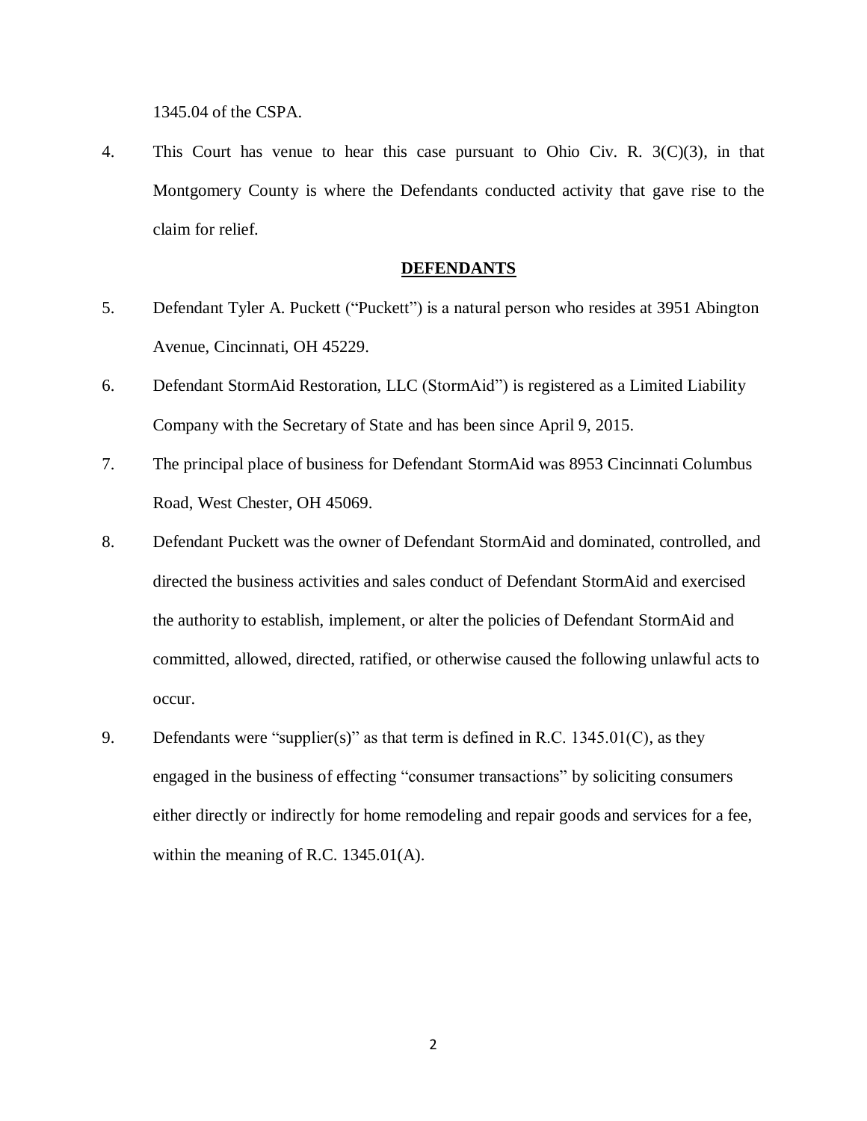1345.04 of the CSPA.

4. This Court has venue to hear this case pursuant to Ohio Civ. R. 3(C)(3), in that Montgomery County is where the Defendants conducted activity that gave rise to the claim for relief.

### **DEFENDANTS**

- 5. Defendant Tyler A. Puckett ("Puckett") is a natural person who resides at 3951 Abington Avenue, Cincinnati, OH 45229.
- 6. Defendant StormAid Restoration, LLC (StormAid") is registered as a Limited Liability Company with the Secretary of State and has been since April 9, 2015.
- 7. The principal place of business for Defendant StormAid was 8953 Cincinnati Columbus Road, West Chester, OH 45069.
- 8. Defendant Puckett was the owner of Defendant StormAid and dominated, controlled, and directed the business activities and sales conduct of Defendant StormAid and exercised the authority to establish, implement, or alter the policies of Defendant StormAid and committed, allowed, directed, ratified, or otherwise caused the following unlawful acts to occur.
- 9. Defendants were "supplier(s)" as that term is defined in R.C. 1345.01(C), as they engaged in the business of effecting "consumer transactions" by soliciting consumers either directly or indirectly for home remodeling and repair goods and services for a fee, within the meaning of R.C. 1345.01(A).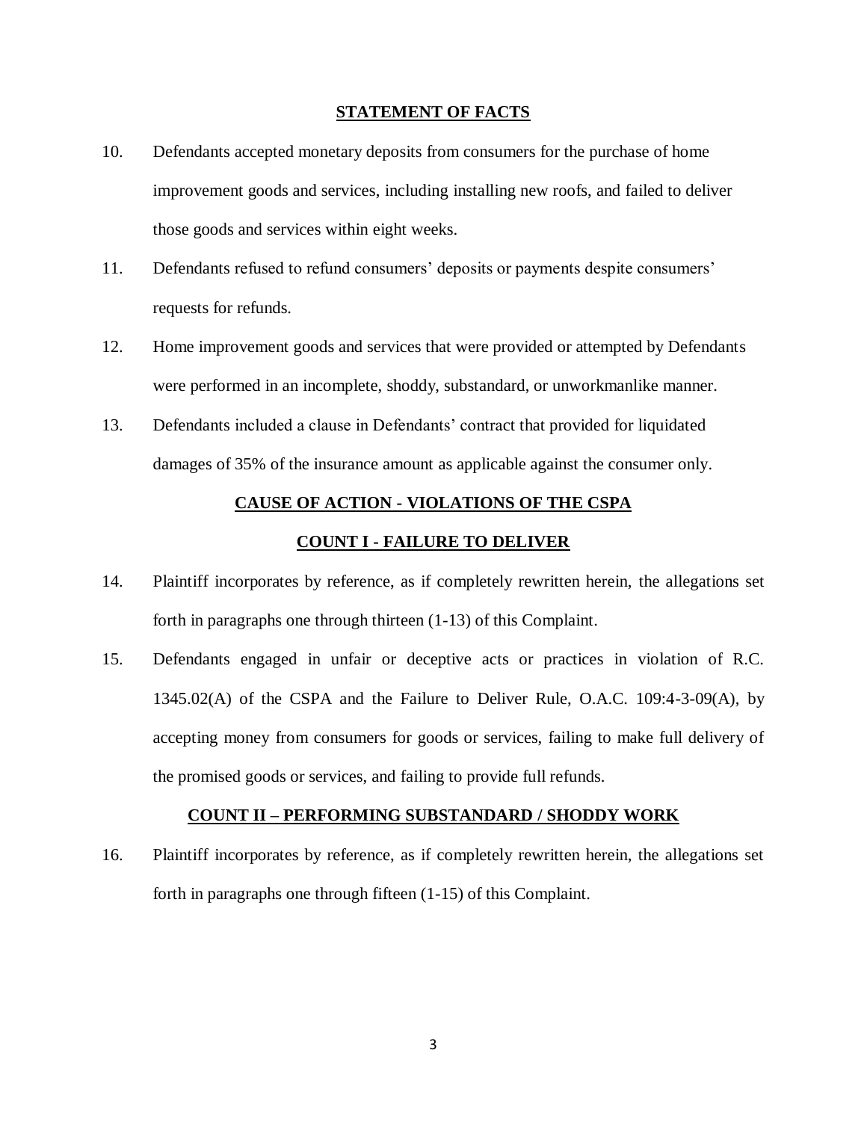### **STATEMENT OF FACTS**

- 10. Defendants accepted monetary deposits from consumers for the purchase of home improvement goods and services, including installing new roofs, and failed to deliver those goods and services within eight weeks.
- 11. Defendants refused to refund consumers' deposits or payments despite consumers' requests for refunds.
- 12. Home improvement goods and services that were provided or attempted by Defendants were performed in an incomplete, shoddy, substandard, or unworkmanlike manner.
- 13. Defendants included a clause in Defendants' contract that provided for liquidated damages of 35% of the insurance amount as applicable against the consumer only.

## **CAUSE OF ACTION - VIOLATIONS OF THE CSPA**

#### **COUNT I - FAILURE TO DELIVER**

- 14. Plaintiff incorporates by reference, as if completely rewritten herein, the allegations set forth in paragraphs one through thirteen (1-13) of this Complaint.
- 15. Defendants engaged in unfair or deceptive acts or practices in violation of R.C. 1345.02(A) of the CSPA and the Failure to Deliver Rule, O.A.C. 109:4-3-09(A), by accepting money from consumers for goods or services, failing to make full delivery of the promised goods or services, and failing to provide full refunds.

#### **COUNT II – PERFORMING SUBSTANDARD / SHODDY WORK**

16. Plaintiff incorporates by reference, as if completely rewritten herein, the allegations set forth in paragraphs one through fifteen (1-15) of this Complaint.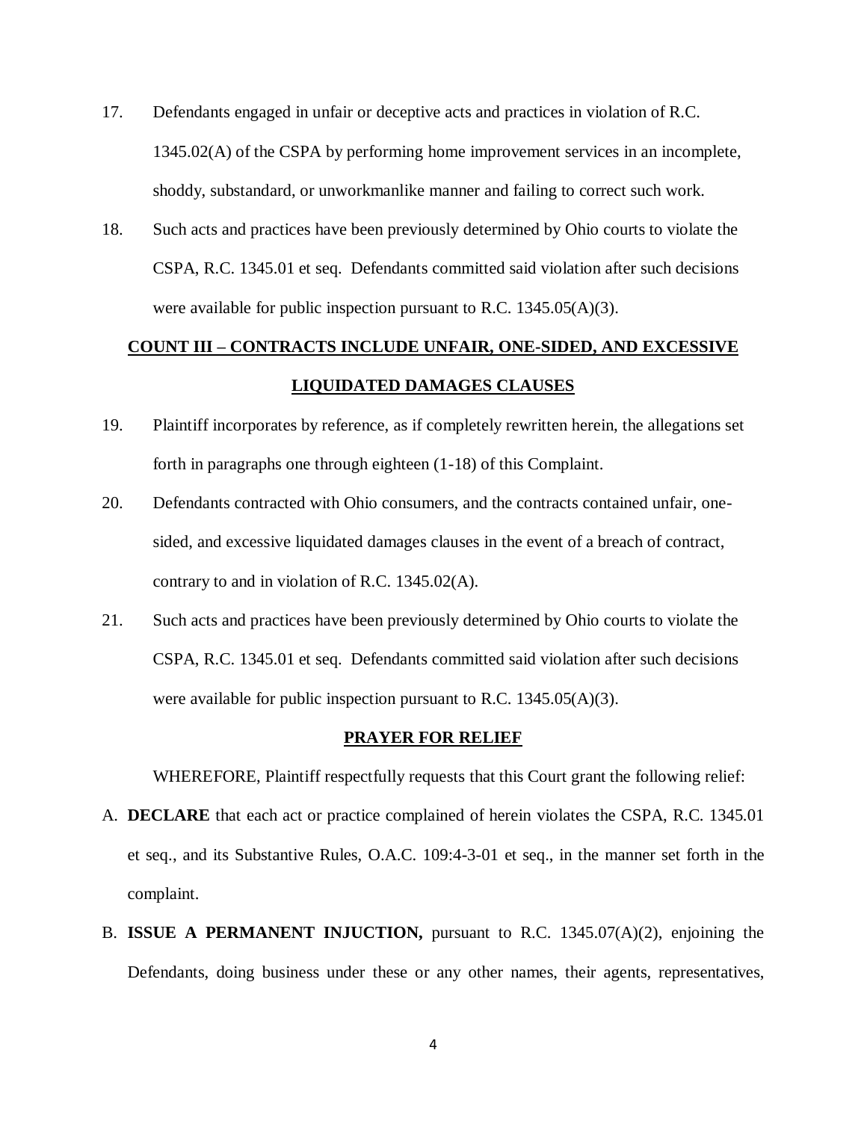- 17. Defendants engaged in unfair or deceptive acts and practices in violation of R.C. 1345.02(A) of the CSPA by performing home improvement services in an incomplete, shoddy, substandard, or unworkmanlike manner and failing to correct such work.
- 18. Such acts and practices have been previously determined by Ohio courts to violate the CSPA, R.C. 1345.01 et seq. Defendants committed said violation after such decisions were available for public inspection pursuant to R.C. 1345.05(A)(3).

# **COUNT III – CONTRACTS INCLUDE UNFAIR, ONE-SIDED, AND EXCESSIVE LIQUIDATED DAMAGES CLAUSES**

- 19. Plaintiff incorporates by reference, as if completely rewritten herein, the allegations set forth in paragraphs one through eighteen (1-18) of this Complaint.
- 20. Defendants contracted with Ohio consumers, and the contracts contained unfair, onesided, and excessive liquidated damages clauses in the event of a breach of contract, contrary to and in violation of R.C. 1345.02(A).
- 21. Such acts and practices have been previously determined by Ohio courts to violate the CSPA, R.C. 1345.01 et seq. Defendants committed said violation after such decisions were available for public inspection pursuant to R.C. 1345.05(A)(3).

#### **PRAYER FOR RELIEF**

WHEREFORE, Plaintiff respectfully requests that this Court grant the following relief:

- A. **DECLARE** that each act or practice complained of herein violates the CSPA, R.C. 1345.01 et seq., and its Substantive Rules, O.A.C. 109:4-3-01 et seq., in the manner set forth in the complaint.
- B. **ISSUE A PERMANENT INJUCTION,** pursuant to R.C. 1345.07(A)(2), enjoining the Defendants, doing business under these or any other names, their agents, representatives,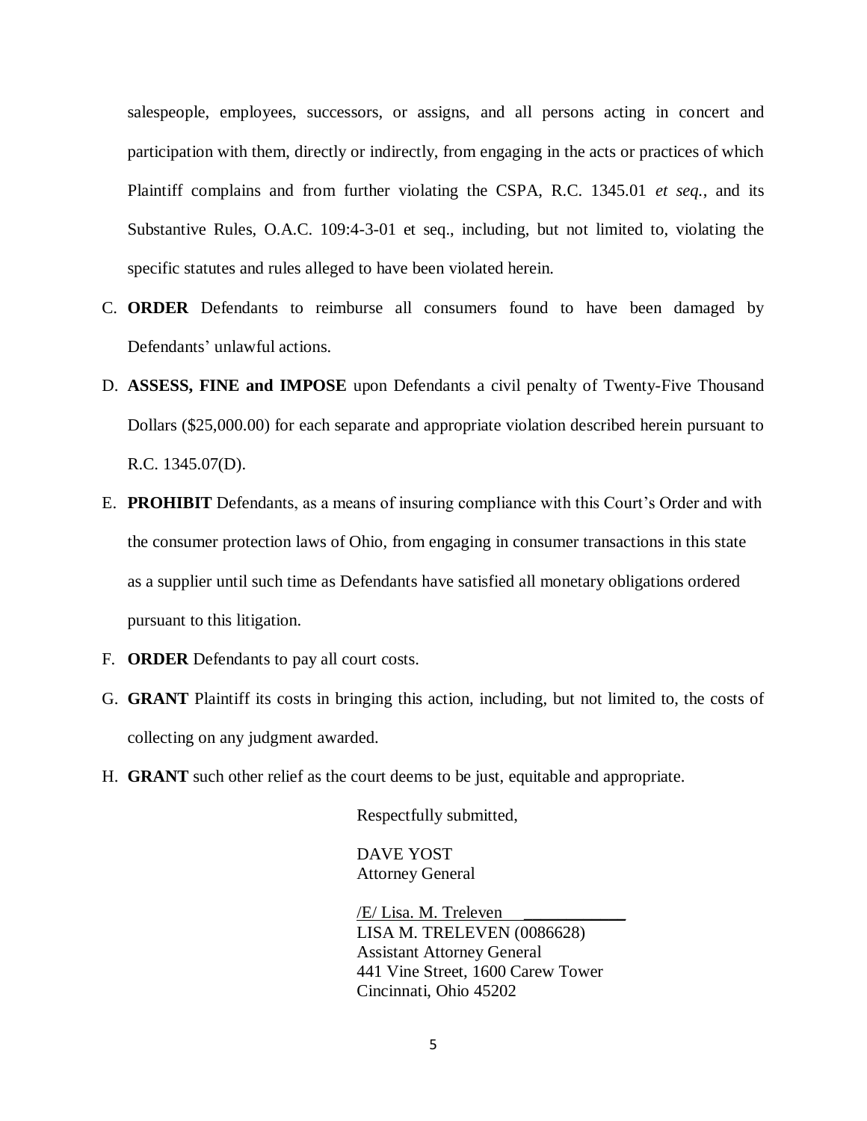salespeople, employees, successors, or assigns, and all persons acting in concert and participation with them, directly or indirectly, from engaging in the acts or practices of which Plaintiff complains and from further violating the CSPA, R.C. 1345.01 *et seq.*, and its Substantive Rules, O.A.C. 109:4-3-01 et seq., including, but not limited to, violating the specific statutes and rules alleged to have been violated herein.

- C. **ORDER** Defendants to reimburse all consumers found to have been damaged by Defendants' unlawful actions.
- D. **ASSESS, FINE and IMPOSE** upon Defendants a civil penalty of Twenty-Five Thousand Dollars (\$25,000.00) for each separate and appropriate violation described herein pursuant to R.C. 1345.07(D).
- E. **PROHIBIT** Defendants, as a means of insuring compliance with this Court's Order and with the consumer protection laws of Ohio, from engaging in consumer transactions in this state as a supplier until such time as Defendants have satisfied all monetary obligations ordered pursuant to this litigation.
- F. **ORDER** Defendants to pay all court costs.
- G. **GRANT** Plaintiff its costs in bringing this action, including, but not limited to, the costs of collecting on any judgment awarded.
- H. **GRANT** such other relief as the court deems to be just, equitable and appropriate.

Respectfully submitted,

DAVE YOST Attorney General

/E/ Lisa. M. Treleven \_\_\_\_\_\_\_\_\_\_\_\_ LISA M. TRELEVEN (0086628) Assistant Attorney General 441 Vine Street, 1600 Carew Tower Cincinnati, Ohio 45202